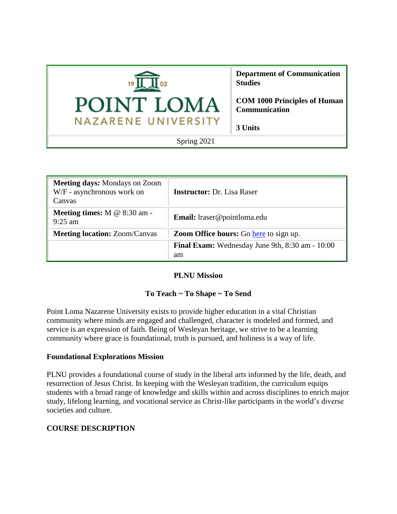

| <b>Meeting days: Mondays on Zoom</b><br>W/F - asynchronous work on<br>Canvas | <b>Instructor:</b> Dr. Lisa Raser                            |
|------------------------------------------------------------------------------|--------------------------------------------------------------|
| <b>Meeting times:</b> $M \& 8:30 \text{ am}$<br>$9:25$ am                    | <b>Email:</b> lraser@pointloma.edu                           |
| <b>Meeting location: Zoom/Canvas</b>                                         | <b>Zoom Office hours:</b> Go here to sign up.                |
|                                                                              | <b>Final Exam:</b> Wednesday June 9th, 8:30 am - 10:00<br>am |

### **PLNU Mission**

## **To Teach ~ To Shape ~ To Send**

Point Loma Nazarene University exists to provide higher education in a vital Christian community where minds are engaged and challenged, character is modeled and formed, and service is an expression of faith. Being of Wesleyan heritage, we strive to be a learning community where grace is foundational, truth is pursued, and holiness is a way of life.

## **Foundational Explorations Mission**

PLNU provides a foundational course of study in the liberal arts informed by the life, death, and resurrection of Jesus Christ. In keeping with the Wesleyan tradition, the curriculum equips students with a broad range of knowledge and skills within and across disciplines to enrich major study, lifelong learning, and vocational service as Christ-like participants in the world's diverse societies and culture.

## **COURSE DESCRIPTION**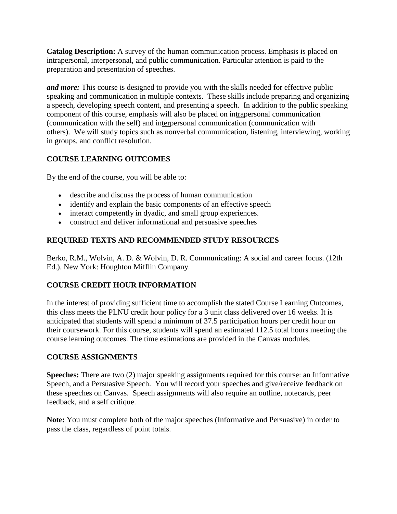**Catalog Description:** A survey of the human communication process. Emphasis is placed on intrapersonal, interpersonal, and public communication. Particular attention is paid to the preparation and presentation of speeches.

*and more:* This course is designed to provide you with the skills needed for effective public speaking and communication in multiple contexts. These skills include preparing and organizing a speech, developing speech content, and presenting a speech. In addition to the public speaking component of this course, emphasis will also be placed on intrapersonal communication (communication with the self) and interpersonal communication (communication with others). We will study topics such as nonverbal communication, listening, interviewing, working in groups, and conflict resolution.

# **COURSE LEARNING OUTCOMES**

By the end of the course, you will be able to:

- describe and discuss the process of human communication
- identify and explain the basic components of an effective speech
- interact competently in dyadic, and small group experiences.
- construct and deliver informational and persuasive speeches

# **REQUIRED TEXTS AND RECOMMENDED STUDY RESOURCES**

Berko, R.M., Wolvin, A. D. & Wolvin, D. R. Communicating: A social and career focus. (12th Ed.). New York: Houghton Mifflin Company.

# **COURSE CREDIT HOUR INFORMATION**

In the interest of providing sufficient time to accomplish the stated Course Learning Outcomes, this class meets the PLNU credit hour policy for a 3 unit class delivered over 16 weeks. It is anticipated that students will spend a minimum of 37.5 participation hours per credit hour on their coursework. For this course, students will spend an estimated 112.5 total hours meeting the course learning outcomes. The time estimations are provided in the Canvas modules.

# **COURSE ASSIGNMENTS**

**Speeches:** There are two (2) major speaking assignments required for this course: an Informative Speech, and a Persuasive Speech. You will record your speeches and give/receive feedback on these speeches on Canvas. Speech assignments will also require an outline, notecards, peer feedback, and a self critique.

**Note:** You must complete both of the major speeches (Informative and Persuasive) in order to pass the class, regardless of point totals.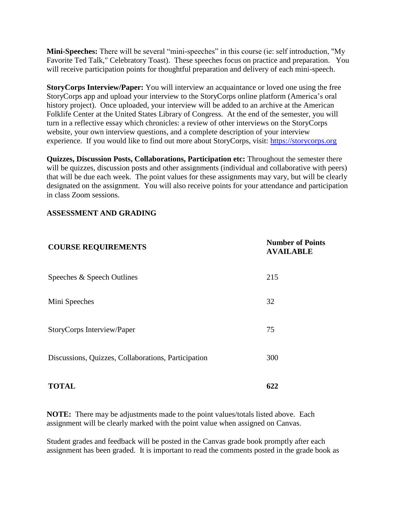**Mini-Speeches:** There will be several "mini-speeches" in this course (ie: self introduction, "My Favorite Ted Talk," Celebratory Toast). These speeches focus on practice and preparation. You will receive participation points for thoughtful preparation and delivery of each mini-speech.

**StoryCorps Interview/Paper:** You will interview an acquaintance or loved one using the free StoryCorps app and upload your interview to the StoryCorps online platform (America's oral history project). Once uploaded, your interview will be added to an archive at the American Folklife Center at the United States Library of Congress. At the end of the semester, you will turn in a reflective essay which chronicles: a review of other interviews on the StoryCorps website, your own interview questions, and a complete description of your interview experience. If you would like to find out more about StoryCorps, visit: [https://storycorps.org](https://storycorps.org/)

**Quizzes, Discussion Posts, Collaborations, Participation etc:** Throughout the semester there will be quizzes, discussion posts and other assignments (individual and collaborative with peers) that will be due each week. The point values for these assignments may vary, but will be clearly designated on the assignment. You will also receive points for your attendance and participation in class Zoom sessions.

### **ASSESSMENT AND GRADING**

| <b>COURSE REQUIREMENTS</b>                          | <b>Number of Points</b><br><b>AVAILABLE</b> |  |
|-----------------------------------------------------|---------------------------------------------|--|
| Speeches & Speech Outlines                          | 215                                         |  |
| Mini Speeches                                       | 32                                          |  |
| StoryCorps Interview/Paper                          | 75                                          |  |
| Discussions, Quizzes, Collaborations, Participation | 300                                         |  |
| <b>TOTAL</b>                                        | 622                                         |  |

**NOTE:** There may be adjustments made to the point values/totals listed above. Each assignment will be clearly marked with the point value when assigned on Canvas.

Student grades and feedback will be posted in the Canvas grade book promptly after each assignment has been graded. It is important to read the comments posted in the grade book as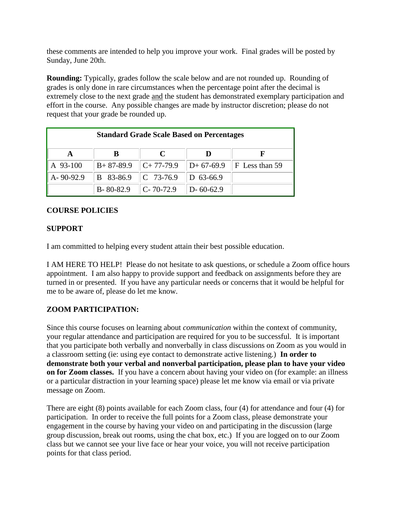these comments are intended to help you improve your work. Final grades will be posted by Sunday, June 20th.

**Rounding:** Typically, grades follow the scale below and are not rounded up. Rounding of grades is only done in rare circumstances when the percentage point after the decimal is extremely close to the next grade and the student has demonstrated exemplary participation and effort in the course. Any possible changes are made by instructor discretion; please do not request that your grade be rounded up.

| <b>Standard Grade Scale Based on Percentages</b> |                 |                        |                    |                        |  |  |
|--------------------------------------------------|-----------------|------------------------|--------------------|------------------------|--|--|
|                                                  |                 |                        |                    |                        |  |  |
| A 93-100                                         | $B+87-89.9$     | $C+77-79.9$            | $\vert$ D+ 67-69.9 | $\vert$ F Less than 59 |  |  |
| $A - 90 - 92.9$                                  | B 83-86.9       | $\ C\ $ 73-76.9        | D $63-66.9$        |                        |  |  |
|                                                  | $B - 80 - 82.9$ | $\mathbb{C}$ - 70-72.9 | $ D-60-62.9 $      |                        |  |  |

# **COURSE POLICIES**

## **SUPPORT**

I am committed to helping every student attain their best possible education.

I AM HERE TO HELP! Please do not hesitate to ask questions, or schedule a Zoom office hours appointment. I am also happy to provide support and feedback on assignments before they are turned in or presented. If you have any particular needs or concerns that it would be helpful for me to be aware of, please do let me know.

## **ZOOM PARTICIPATION:**

Since this course focuses on learning about *communication* within the context of community, your regular attendance and participation are required for you to be successful. It is important that you participate both verbally and nonverbally in class discussions on Zoom as you would in a classroom setting (ie: using eye contact to demonstrate active listening.) **In order to demonstrate both your verbal and nonverbal participation, please plan to have your video on for Zoom classes.** If you have a concern about having your video on (for example: an illness or a particular distraction in your learning space) please let me know via email or via private message on Zoom.

There are eight (8) points available for each Zoom class, four (4) for attendance and four (4) for participation. In order to receive the full points for a Zoom class, please demonstrate your engagement in the course by having your video on and participating in the discussion (large group discussion, break out rooms, using the chat box, etc.) If you are logged on to our Zoom class but we cannot see your live face or hear your voice, you will not receive participation points for that class period.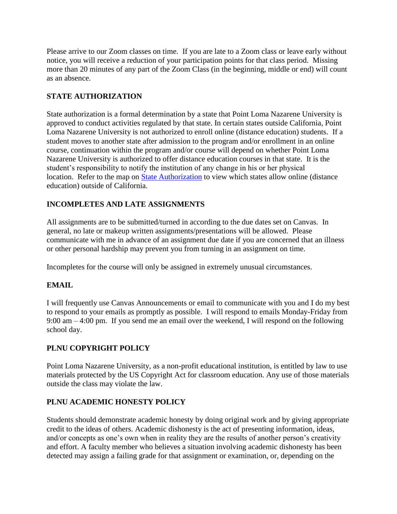Please arrive to our Zoom classes on time. If you are late to a Zoom class or leave early without notice, you will receive a reduction of your participation points for that class period. Missing more than 20 minutes of any part of the Zoom Class (in the beginning, middle or end) will count as an absence.

## **STATE AUTHORIZATION**

State authorization is a formal determination by a state that Point Loma Nazarene University is approved to conduct activities regulated by that state. In certain states outside California, Point Loma Nazarene University is not authorized to enroll online (distance education) students. If a student moves to another state after admission to the program and/or enrollment in an online course, continuation within the program and/or course will depend on whether Point Loma Nazarene University is authorized to offer distance education courses in that state. It is the student's responsibility to notify the institution of any change in his or her physical location. Refer to the map on [State Authorization](https://www.pointloma.edu/offices/office-institutional-effectiveness-research/disclosures) to view which states allow online (distance education) outside of California.

# **INCOMPLETES AND LATE ASSIGNMENTS**

All assignments are to be submitted/turned in according to the due dates set on Canvas. In general, no late or makeup written assignments/presentations will be allowed. Please communicate with me in advance of an assignment due date if you are concerned that an illness or other personal hardship may prevent you from turning in an assignment on time.

Incompletes for the course will only be assigned in extremely unusual circumstances.

## **EMAIL**

I will frequently use Canvas Announcements or email to communicate with you and I do my best to respond to your emails as promptly as possible. I will respond to emails Monday-Friday from 9:00 am – 4:00 pm. If you send me an email over the weekend, I will respond on the following school day.

# **PLNU COPYRIGHT POLICY**

Point Loma Nazarene University, as a non-profit educational institution, is entitled by law to use materials protected by the US Copyright Act for classroom education. Any use of those materials outside the class may violate the law.

## **PLNU ACADEMIC HONESTY POLICY**

Students should demonstrate academic honesty by doing original work and by giving appropriate credit to the ideas of others. Academic dishonesty is the act of presenting information, ideas, and/or concepts as one's own when in reality they are the results of another person's creativity and effort. A faculty member who believes a situation involving academic dishonesty has been detected may assign a failing grade for that assignment or examination, or, depending on the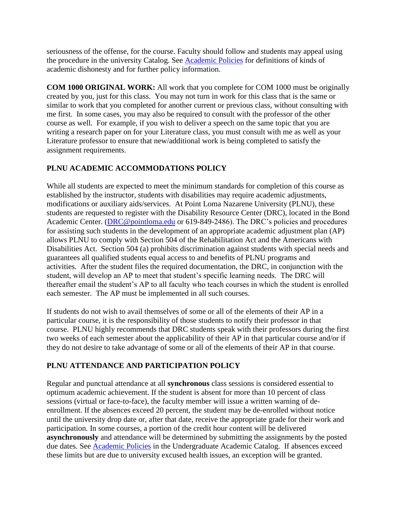seriousness of the offense, for the course. Faculty should follow and students may appeal using the procedure in the university Catalog. See [Academic Policies](http://catalog.pointloma.edu/content.php?catoid=18&navoid=1278) for definitions of kinds of academic dishonesty and for further policy information.

**COM 1000 ORIGINAL WORK:** All work that you complete for COM 1000 must be originally created by you, just for this class. You may not turn in work for this class that is the same or similar to work that you completed for another current or previous class, without consulting with me first. In some cases, you may also be required to consult with the professor of the other course as well. For example, if you wish to deliver a speech on the same topic that you are writing a research paper on for your Literature class, you must consult with me as well as your Literature professor to ensure that new/additional work is being completed to satisfy the assignment requirements.

# **PLNU ACADEMIC ACCOMMODATIONS POLICY**

While all students are expected to meet the minimum standards for completion of this course as established by the instructor, students with disabilities may require academic adjustments, modifications or auxiliary aids/services. At Point Loma Nazarene University (PLNU), these students are requested to register with the Disability Resource Center (DRC), located in the Bond Academic Center. [\(DRC@pointloma.edu](mailto:DRC@pointloma.edu) or 619-849-2486). The DRC's policies and procedures for assisting such students in the development of an appropriate academic adjustment plan (AP) allows PLNU to comply with Section 504 of the Rehabilitation Act and the Americans with Disabilities Act. Section 504 (a) prohibits discrimination against students with special needs and guarantees all qualified students equal access to and benefits of PLNU programs and activities. After the student files the required documentation, the DRC, in conjunction with the student, will develop an AP to meet that student's specific learning needs. The DRC will thereafter email the student's AP to all faculty who teach courses in which the student is enrolled each semester. The AP must be implemented in all such courses.

If students do not wish to avail themselves of some or all of the elements of their AP in a particular course, it is the responsibility of those students to notify their professor in that course. PLNU highly recommends that DRC students speak with their professors during the first two weeks of each semester about the applicability of their AP in that particular course and/or if they do not desire to take advantage of some or all of the elements of their AP in that course.

# **PLNU ATTENDANCE AND PARTICIPATION POLICY**

Regular and punctual attendance at all **synchronous** class sessions is considered essential to optimum academic achievement. If the student is absent for more than 10 percent of class sessions (virtual or face-to-face), the faculty member will issue a written warning of deenrollment. If the absences exceed 20 percent, the student may be de-enrolled without notice until the university drop date or, after that date, receive the appropriate grade for their work and participation. In some courses, a portion of the credit hour content will be delivered **asynchronously** and attendance will be determined by submitting the assignments by the posted due dates. See **Academic Policies** in the Undergraduate Academic Catalog. If absences exceed these limits but are due to university excused health issues, an exception will be granted.